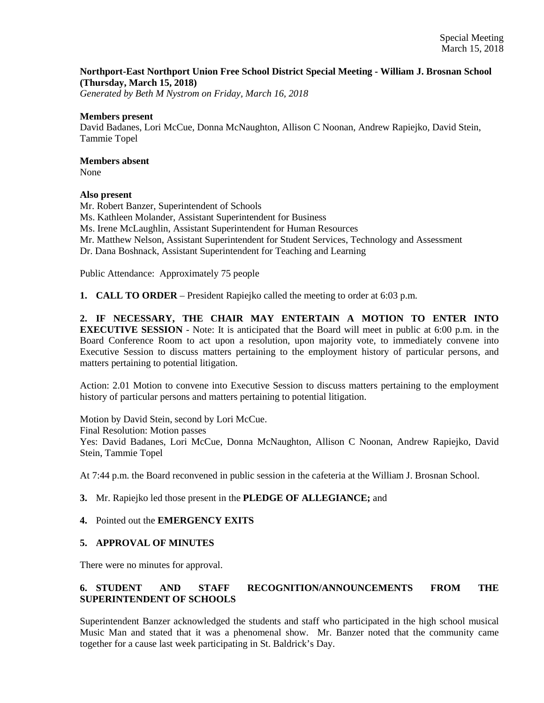### **Northport-East Northport Union Free School District Special Meeting - William J. Brosnan School (Thursday, March 15, 2018)**

*Generated by Beth M Nystrom on Friday, March 16, 2018*

#### **Members present**

David Badanes, Lori McCue, Donna McNaughton, Allison C Noonan, Andrew Rapiejko, David Stein, Tammie Topel

# **Members absent**

None

### **Also present**

Mr. Robert Banzer, Superintendent of Schools Ms. Kathleen Molander, Assistant Superintendent for Business Ms. Irene McLaughlin, Assistant Superintendent for Human Resources Mr. Matthew Nelson, Assistant Superintendent for Student Services, Technology and Assessment Dr. Dana Boshnack, Assistant Superintendent for Teaching and Learning

Public Attendance: Approximately 75 people

**1. CALL TO ORDER** – President Rapiejko called the meeting to order at 6:03 p.m.

**2. IF NECESSARY, THE CHAIR MAY ENTERTAIN A MOTION TO ENTER INTO EXECUTIVE SESSION** - Note: It is anticipated that the Board will meet in public at 6:00 p.m. in the Board Conference Room to act upon a resolution, upon majority vote, to immediately convene into Executive Session to discuss matters pertaining to the employment history of particular persons, and matters pertaining to potential litigation.

Action: 2.01 Motion to convene into Executive Session to discuss matters pertaining to the employment history of particular persons and matters pertaining to potential litigation.

Motion by David Stein, second by Lori McCue.

Final Resolution: Motion passes

Yes: David Badanes, Lori McCue, Donna McNaughton, Allison C Noonan, Andrew Rapiejko, David Stein, Tammie Topel

At 7:44 p.m. the Board reconvened in public session in the cafeteria at the William J. Brosnan School.

### **3.** Mr. Rapiejko led those present in the **PLEDGE OF ALLEGIANCE;** and

### **4.** Pointed out the **EMERGENCY EXITS**

### **5. APPROVAL OF MINUTES**

There were no minutes for approval.

## **6. STUDENT AND STAFF RECOGNITION/ANNOUNCEMENTS FROM THE SUPERINTENDENT OF SCHOOLS**

Superintendent Banzer acknowledged the students and staff who participated in the high school musical Music Man and stated that it was a phenomenal show. Mr. Banzer noted that the community came together for a cause last week participating in St. Baldrick's Day.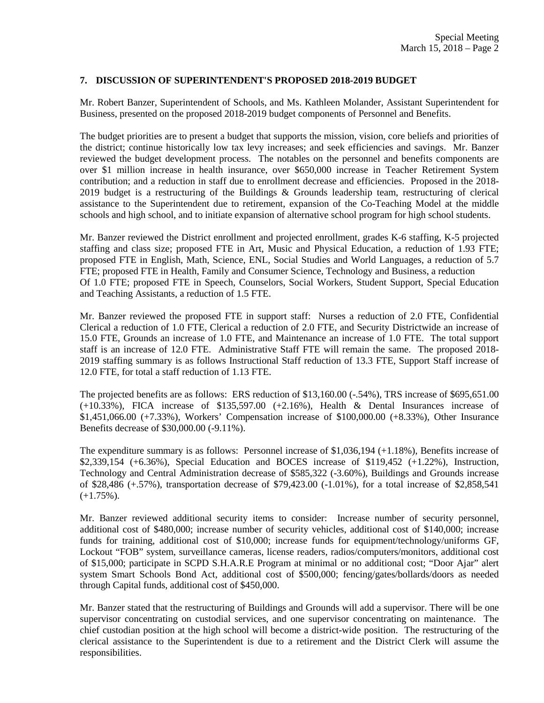### **7. DISCUSSION OF SUPERINTENDENT'S PROPOSED 2018-2019 BUDGET**

Mr. Robert Banzer, Superintendent of Schools, and Ms. Kathleen Molander, Assistant Superintendent for Business, presented on the proposed 2018-2019 budget components of Personnel and Benefits.

The budget priorities are to present a budget that supports the mission, vision, core beliefs and priorities of the district; continue historically low tax levy increases; and seek efficiencies and savings. Mr. Banzer reviewed the budget development process. The notables on the personnel and benefits components are over \$1 million increase in health insurance, over \$650,000 increase in Teacher Retirement System contribution; and a reduction in staff due to enrollment decrease and efficiencies. Proposed in the 2018- 2019 budget is a restructuring of the Buildings & Grounds leadership team, restructuring of clerical assistance to the Superintendent due to retirement, expansion of the Co-Teaching Model at the middle schools and high school, and to initiate expansion of alternative school program for high school students.

Mr. Banzer reviewed the District enrollment and projected enrollment, grades K-6 staffing, K-5 projected staffing and class size; proposed FTE in Art, Music and Physical Education, a reduction of 1.93 FTE; proposed FTE in English, Math, Science, ENL, Social Studies and World Languages, a reduction of 5.7 FTE; proposed FTE in Health, Family and Consumer Science, Technology and Business, a reduction Of 1.0 FTE; proposed FTE in Speech, Counselors, Social Workers, Student Support, Special Education and Teaching Assistants, a reduction of 1.5 FTE.

Mr. Banzer reviewed the proposed FTE in support staff: Nurses a reduction of 2.0 FTE, Confidential Clerical a reduction of 1.0 FTE, Clerical a reduction of 2.0 FTE, and Security Districtwide an increase of 15.0 FTE, Grounds an increase of 1.0 FTE, and Maintenance an increase of 1.0 FTE. The total support staff is an increase of 12.0 FTE. Administrative Staff FTE will remain the same. The proposed 2018- 2019 staffing summary is as follows Instructional Staff reduction of 13.3 FTE, Support Staff increase of 12.0 FTE, for total a staff reduction of 1.13 FTE.

The projected benefits are as follows: ERS reduction of \$13,160.00 (-.54%), TRS increase of \$695,651.00 (+10.33%), FICA increase of \$135,597.00 (+2.16%), Health & Dental Insurances increase of \$1,451,066.00 (+7.33%), Workers' Compensation increase of \$100,000.00 (+8.33%), Other Insurance Benefits decrease of \$30,000.00 (-9.11%).

The expenditure summary is as follows: Personnel increase of \$1,036,194 (+1.18%), Benefits increase of \$2,339,154 (+6.36%), Special Education and BOCES increase of \$119,452 (+1.22%), Instruction, Technology and Central Administration decrease of \$585,322 (-3.60%), Buildings and Grounds increase of \$28,486 (+.57%), transportation decrease of \$79,423.00 (-1.01%), for a total increase of \$2,858,541  $(+1.75\%)$ .

Mr. Banzer reviewed additional security items to consider: Increase number of security personnel, additional cost of \$480,000; increase number of security vehicles, additional cost of \$140,000; increase funds for training, additional cost of \$10,000; increase funds for equipment/technology/uniforms GF, Lockout "FOB" system, surveillance cameras, license readers, radios/computers/monitors, additional cost of \$15,000; participate in SCPD S.H.A.R.E Program at minimal or no additional cost; "Door Ajar" alert system Smart Schools Bond Act, additional cost of \$500,000; fencing/gates/bollards/doors as needed through Capital funds, additional cost of \$450,000.

Mr. Banzer stated that the restructuring of Buildings and Grounds will add a supervisor. There will be one supervisor concentrating on custodial services, and one supervisor concentrating on maintenance. The chief custodian position at the high school will become a district-wide position. The restructuring of the clerical assistance to the Superintendent is due to a retirement and the District Clerk will assume the responsibilities.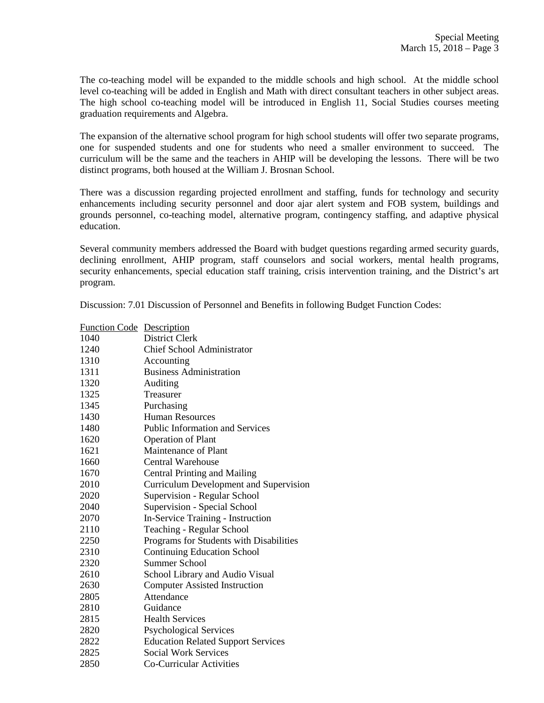The co-teaching model will be expanded to the middle schools and high school. At the middle school level co-teaching will be added in English and Math with direct consultant teachers in other subject areas. The high school co-teaching model will be introduced in English 11, Social Studies courses meeting graduation requirements and Algebra.

The expansion of the alternative school program for high school students will offer two separate programs, one for suspended students and one for students who need a smaller environment to succeed. The curriculum will be the same and the teachers in AHIP will be developing the lessons. There will be two distinct programs, both housed at the William J. Brosnan School.

There was a discussion regarding projected enrollment and staffing, funds for technology and security enhancements including security personnel and door ajar alert system and FOB system, buildings and grounds personnel, co-teaching model, alternative program, contingency staffing, and adaptive physical education.

Several community members addressed the Board with budget questions regarding armed security guards, declining enrollment, AHIP program, staff counselors and social workers, mental health programs, security enhancements, special education staff training, crisis intervention training, and the District's art program.

Discussion: 7.01 Discussion of Personnel and Benefits in following Budget Function Codes:

| <b>Function Code</b> Description |                                               |
|----------------------------------|-----------------------------------------------|
| 1040                             | District Clerk                                |
| 1240                             | <b>Chief School Administrator</b>             |
| 1310                             | Accounting                                    |
| 1311                             | <b>Business Administration</b>                |
| 1320                             | Auditing                                      |
| 1325                             | Treasurer                                     |
| 1345                             | Purchasing                                    |
| 1430                             | <b>Human Resources</b>                        |
| 1480                             | <b>Public Information and Services</b>        |
| 1620                             | <b>Operation of Plant</b>                     |
| 1621                             | Maintenance of Plant                          |
| 1660                             | Central Warehouse                             |
| 1670                             | <b>Central Printing and Mailing</b>           |
| 2010                             | <b>Curriculum Development and Supervision</b> |
| 2020                             | Supervision - Regular School                  |
| 2040                             | Supervision - Special School                  |
| 2070                             | In-Service Training - Instruction             |
| 2110                             | Teaching - Regular School                     |
| 2250                             | Programs for Students with Disabilities       |
| 2310                             | <b>Continuing Education School</b>            |
| 2320                             | <b>Summer School</b>                          |
| 2610                             | School Library and Audio Visual               |
| 2630                             | <b>Computer Assisted Instruction</b>          |
| 2805                             | Attendance                                    |
| 2810                             | Guidance                                      |
| 2815                             | <b>Health Services</b>                        |
| 2820                             | <b>Psychological Services</b>                 |
| 2822                             | <b>Education Related Support Services</b>     |
| 2825                             | <b>Social Work Services</b>                   |
| 2850                             | Co-Curricular Activities                      |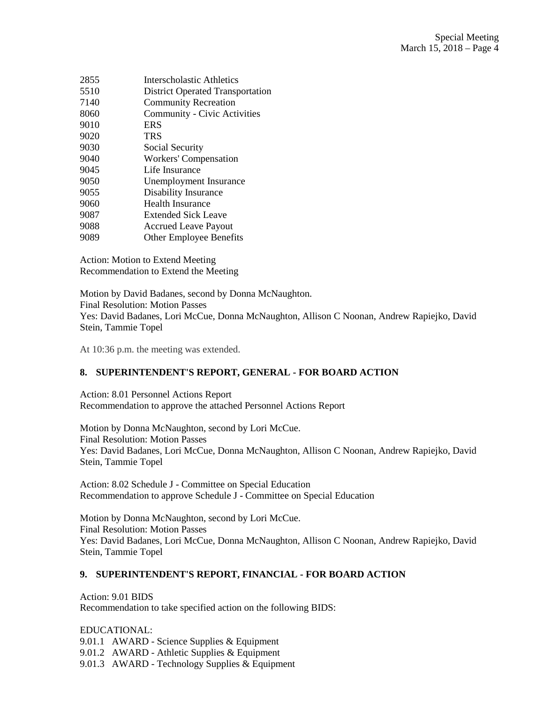| 2855 | Interscholastic Athletics               |
|------|-----------------------------------------|
| 5510 | <b>District Operated Transportation</b> |
| 7140 | <b>Community Recreation</b>             |
| 8060 | Community - Civic Activities            |
| 9010 | <b>ERS</b>                              |
| 9020 | <b>TRS</b>                              |
| 9030 | Social Security                         |
| 9040 | <b>Workers' Compensation</b>            |
| 9045 | Life Insurance                          |
| 9050 | Unemployment Insurance                  |
| 9055 | Disability Insurance                    |
| 9060 | <b>Health Insurance</b>                 |
| 9087 | <b>Extended Sick Leave</b>              |
| 9088 | <b>Accrued Leave Payout</b>             |
| 9089 | <b>Other Employee Benefits</b>          |

Action: Motion to Extend Meeting Recommendation to Extend the Meeting

Motion by David Badanes, second by Donna McNaughton. Final Resolution: Motion Passes Yes: David Badanes, Lori McCue, Donna McNaughton, Allison C Noonan, Andrew Rapiejko, David Stein, Tammie Topel

At 10:36 p.m. the meeting was extended.

## **8. SUPERINTENDENT'S REPORT, GENERAL - FOR BOARD ACTION**

Action: 8.01 Personnel Actions Report Recommendation to approve the attached Personnel Actions Report

Motion by Donna McNaughton, second by Lori McCue. Final Resolution: Motion Passes Yes: David Badanes, Lori McCue, Donna McNaughton, Allison C Noonan, Andrew Rapiejko, David Stein, Tammie Topel

Action: 8.02 Schedule J - Committee on Special Education Recommendation to approve Schedule J - Committee on Special Education

Motion by Donna McNaughton, second by Lori McCue. Final Resolution: Motion Passes Yes: David Badanes, Lori McCue, Donna McNaughton, Allison C Noonan, Andrew Rapiejko, David Stein, Tammie Topel

### **9. SUPERINTENDENT'S REPORT, FINANCIAL - FOR BOARD ACTION**

Action: 9.01 BIDS Recommendation to take specified action on the following BIDS:

EDUCATIONAL: 9.01.1 AWARD - Science Supplies & Equipment 9.01.2 AWARD - Athletic Supplies & Equipment 9.01.3 AWARD - Technology Supplies & Equipment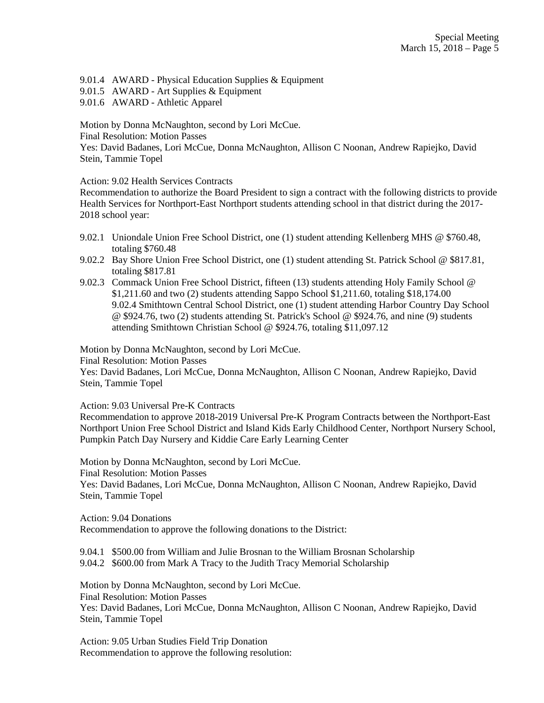9.01.4 AWARD - Physical Education Supplies & Equipment

- 9.01.5 AWARD Art Supplies & Equipment
- 9.01.6 AWARD Athletic Apparel

Motion by Donna McNaughton, second by Lori McCue.

Final Resolution: Motion Passes

Yes: David Badanes, Lori McCue, Donna McNaughton, Allison C Noonan, Andrew Rapiejko, David Stein, Tammie Topel

Action: 9.02 Health Services Contracts

Recommendation to authorize the Board President to sign a contract with the following districts to provide Health Services for Northport-East Northport students attending school in that district during the 2017- 2018 school year:

- 9.02.1 Uniondale Union Free School District, one (1) student attending Kellenberg MHS @ \$760.48, totaling \$760.48
- 9.02.2 Bay Shore Union Free School District, one (1) student attending St. Patrick School @ \$817.81, totaling \$817.81
- 9.02.3 Commack Union Free School District, fifteen (13) students attending Holy Family School @ \$1,211.60 and two (2) students attending Sappo School \$1,211.60, totaling \$18,174.00 9.02.4 Smithtown Central School District, one (1) student attending Harbor Country Day School @ \$924.76, two (2) students attending St. Patrick's School @ \$924.76, and nine (9) students attending Smithtown Christian School @ \$924.76, totaling \$11,097.12

Motion by Donna McNaughton, second by Lori McCue.

Final Resolution: Motion Passes

Yes: David Badanes, Lori McCue, Donna McNaughton, Allison C Noonan, Andrew Rapiejko, David Stein, Tammie Topel

Action: 9.03 Universal Pre-K Contracts

Recommendation to approve 2018-2019 Universal Pre-K Program Contracts between the Northport-East Northport Union Free School District and Island Kids Early Childhood Center, Northport Nursery School, Pumpkin Patch Day Nursery and Kiddie Care Early Learning Center

Motion by Donna McNaughton, second by Lori McCue. Final Resolution: Motion Passes Yes: David Badanes, Lori McCue, Donna McNaughton, Allison C Noonan, Andrew Rapiejko, David Stein, Tammie Topel

Action: 9.04 Donations Recommendation to approve the following donations to the District:

9.04.1 \$500.00 from William and Julie Brosnan to the William Brosnan Scholarship 9.04.2 \$600.00 from Mark A Tracy to the Judith Tracy Memorial Scholarship

Motion by Donna McNaughton, second by Lori McCue. Final Resolution: Motion Passes Yes: David Badanes, Lori McCue, Donna McNaughton, Allison C Noonan, Andrew Rapiejko, David Stein, Tammie Topel

Action: 9.05 Urban Studies Field Trip Donation Recommendation to approve the following resolution: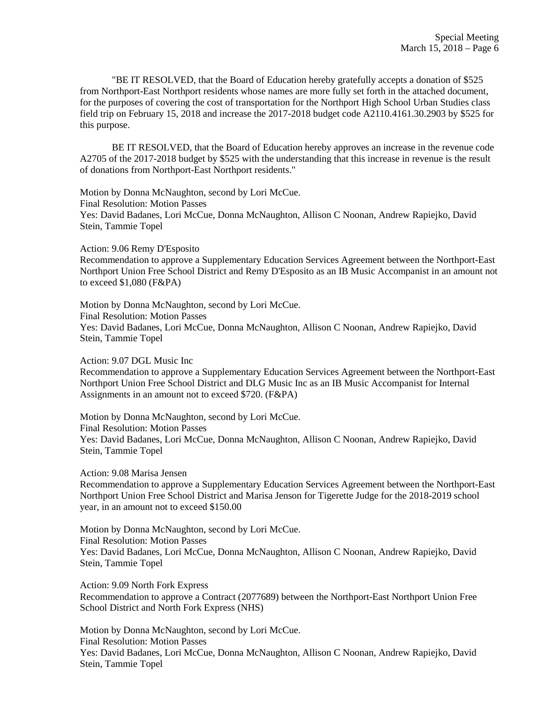"BE IT RESOLVED, that the Board of Education hereby gratefully accepts a donation of \$525 from Northport-East Northport residents whose names are more fully set forth in the attached document, for the purposes of covering the cost of transportation for the Northport High School Urban Studies class field trip on February 15, 2018 and increase the 2017-2018 budget code A2110.4161.30.2903 by \$525 for this purpose.

BE IT RESOLVED, that the Board of Education hereby approves an increase in the revenue code A2705 of the 2017-2018 budget by \$525 with the understanding that this increase in revenue is the result of donations from Northport-East Northport residents."

Motion by Donna McNaughton, second by Lori McCue. Final Resolution: Motion Passes Yes: David Badanes, Lori McCue, Donna McNaughton, Allison C Noonan, Andrew Rapiejko, David Stein, Tammie Topel

Action: 9.06 Remy D'Esposito

Recommendation to approve a Supplementary Education Services Agreement between the Northport-East Northport Union Free School District and Remy D'Esposito as an IB Music Accompanist in an amount not to exceed \$1,080 (F&PA)

Motion by Donna McNaughton, second by Lori McCue. Final Resolution: Motion Passes Yes: David Badanes, Lori McCue, Donna McNaughton, Allison C Noonan, Andrew Rapiejko, David Stein, Tammie Topel

Action: 9.07 DGL Music Inc

Recommendation to approve a Supplementary Education Services Agreement between the Northport-East Northport Union Free School District and DLG Music Inc as an IB Music Accompanist for Internal Assignments in an amount not to exceed \$720. (F&PA)

Motion by Donna McNaughton, second by Lori McCue. Final Resolution: Motion Passes Yes: David Badanes, Lori McCue, Donna McNaughton, Allison C Noonan, Andrew Rapiejko, David Stein, Tammie Topel

Action: 9.08 Marisa Jensen

Recommendation to approve a Supplementary Education Services Agreement between the Northport-East Northport Union Free School District and Marisa Jenson for Tigerette Judge for the 2018-2019 school year, in an amount not to exceed \$150.00

Motion by Donna McNaughton, second by Lori McCue. Final Resolution: Motion Passes Yes: David Badanes, Lori McCue, Donna McNaughton, Allison C Noonan, Andrew Rapiejko, David Stein, Tammie Topel

Action: 9.09 North Fork Express Recommendation to approve a Contract (2077689) between the Northport-East Northport Union Free School District and North Fork Express (NHS)

Motion by Donna McNaughton, second by Lori McCue. Final Resolution: Motion Passes Yes: David Badanes, Lori McCue, Donna McNaughton, Allison C Noonan, Andrew Rapiejko, David Stein, Tammie Topel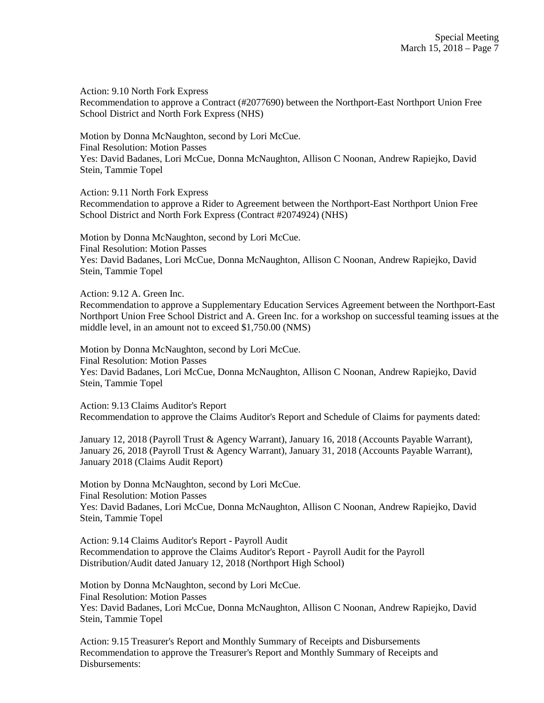Action: 9.10 North Fork Express Recommendation to approve a Contract (#2077690) between the Northport-East Northport Union Free School District and North Fork Express (NHS)

Motion by Donna McNaughton, second by Lori McCue. Final Resolution: Motion Passes Yes: David Badanes, Lori McCue, Donna McNaughton, Allison C Noonan, Andrew Rapiejko, David Stein, Tammie Topel

Action: 9.11 North Fork Express

Recommendation to approve a Rider to Agreement between the Northport-East Northport Union Free School District and North Fork Express (Contract #2074924) (NHS)

Motion by Donna McNaughton, second by Lori McCue. Final Resolution: Motion Passes Yes: David Badanes, Lori McCue, Donna McNaughton, Allison C Noonan, Andrew Rapiejko, David Stein, Tammie Topel

Action: 9.12 A. Green Inc.

Recommendation to approve a Supplementary Education Services Agreement between the Northport-East Northport Union Free School District and A. Green Inc. for a workshop on successful teaming issues at the middle level, in an amount not to exceed \$1,750.00 (NMS)

Motion by Donna McNaughton, second by Lori McCue. Final Resolution: Motion Passes Yes: David Badanes, Lori McCue, Donna McNaughton, Allison C Noonan, Andrew Rapiejko, David Stein, Tammie Topel

Action: 9.13 Claims Auditor's Report Recommendation to approve the Claims Auditor's Report and Schedule of Claims for payments dated:

January 12, 2018 (Payroll Trust & Agency Warrant), January 16, 2018 (Accounts Payable Warrant), January 26, 2018 (Payroll Trust & Agency Warrant), January 31, 2018 (Accounts Payable Warrant), January 2018 (Claims Audit Report)

Motion by Donna McNaughton, second by Lori McCue. Final Resolution: Motion Passes Yes: David Badanes, Lori McCue, Donna McNaughton, Allison C Noonan, Andrew Rapiejko, David Stein, Tammie Topel

Action: 9.14 Claims Auditor's Report - Payroll Audit Recommendation to approve the Claims Auditor's Report - Payroll Audit for the Payroll Distribution/Audit dated January 12, 2018 (Northport High School)

Motion by Donna McNaughton, second by Lori McCue. Final Resolution: Motion Passes Yes: David Badanes, Lori McCue, Donna McNaughton, Allison C Noonan, Andrew Rapiejko, David Stein, Tammie Topel

Action: 9.15 Treasurer's Report and Monthly Summary of Receipts and Disbursements Recommendation to approve the Treasurer's Report and Monthly Summary of Receipts and Disbursements: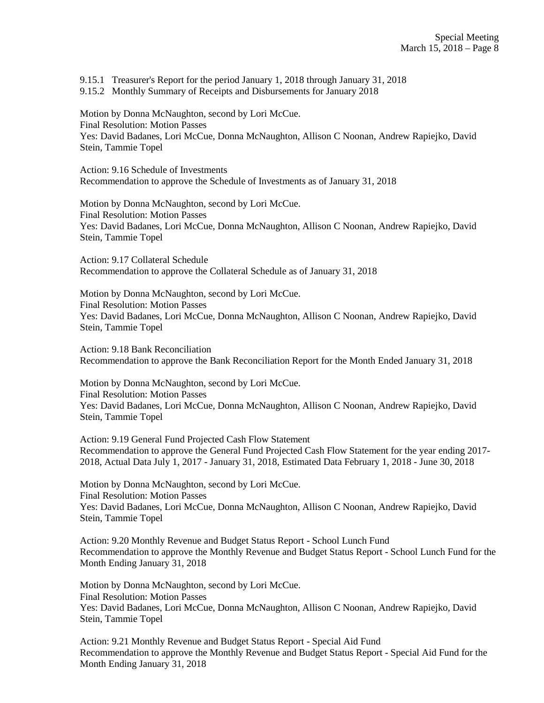9.15.1 Treasurer's Report for the period January 1, 2018 through January 31, 2018

9.15.2 Monthly Summary of Receipts and Disbursements for January 2018

Motion by Donna McNaughton, second by Lori McCue. Final Resolution: Motion Passes Yes: David Badanes, Lori McCue, Donna McNaughton, Allison C Noonan, Andrew Rapiejko, David Stein, Tammie Topel

Action: 9.16 Schedule of Investments Recommendation to approve the Schedule of Investments as of January 31, 2018

Motion by Donna McNaughton, second by Lori McCue. Final Resolution: Motion Passes Yes: David Badanes, Lori McCue, Donna McNaughton, Allison C Noonan, Andrew Rapiejko, David Stein, Tammie Topel

Action: 9.17 Collateral Schedule Recommendation to approve the Collateral Schedule as of January 31, 2018

Motion by Donna McNaughton, second by Lori McCue. Final Resolution: Motion Passes Yes: David Badanes, Lori McCue, Donna McNaughton, Allison C Noonan, Andrew Rapiejko, David Stein, Tammie Topel

Action: 9.18 Bank Reconciliation Recommendation to approve the Bank Reconciliation Report for the Month Ended January 31, 2018

Motion by Donna McNaughton, second by Lori McCue. Final Resolution: Motion Passes Yes: David Badanes, Lori McCue, Donna McNaughton, Allison C Noonan, Andrew Rapiejko, David Stein, Tammie Topel

Action: 9.19 General Fund Projected Cash Flow Statement Recommendation to approve the General Fund Projected Cash Flow Statement for the year ending 2017- 2018, Actual Data July 1, 2017 - January 31, 2018, Estimated Data February 1, 2018 - June 30, 2018

Motion by Donna McNaughton, second by Lori McCue. Final Resolution: Motion Passes Yes: David Badanes, Lori McCue, Donna McNaughton, Allison C Noonan, Andrew Rapiejko, David Stein, Tammie Topel

Action: 9.20 Monthly Revenue and Budget Status Report - School Lunch Fund Recommendation to approve the Monthly Revenue and Budget Status Report - School Lunch Fund for the Month Ending January 31, 2018

Motion by Donna McNaughton, second by Lori McCue. Final Resolution: Motion Passes Yes: David Badanes, Lori McCue, Donna McNaughton, Allison C Noonan, Andrew Rapiejko, David Stein, Tammie Topel

Action: 9.21 Monthly Revenue and Budget Status Report - Special Aid Fund Recommendation to approve the Monthly Revenue and Budget Status Report - Special Aid Fund for the Month Ending January 31, 2018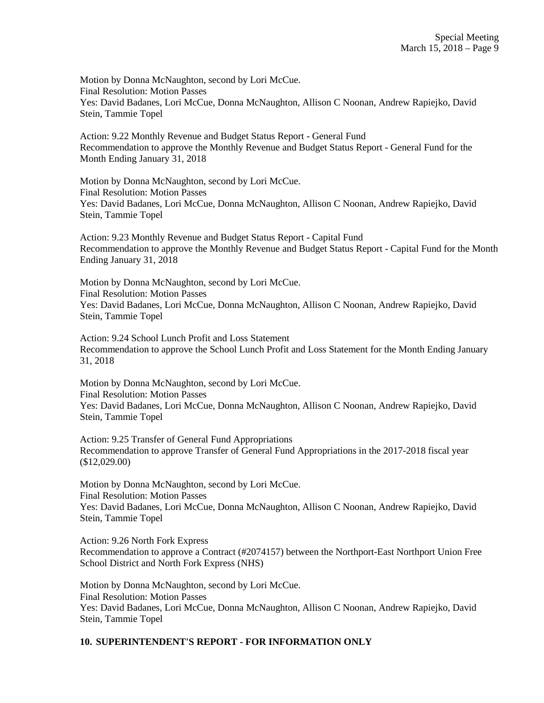Motion by Donna McNaughton, second by Lori McCue. Final Resolution: Motion Passes Yes: David Badanes, Lori McCue, Donna McNaughton, Allison C Noonan, Andrew Rapiejko, David Stein, Tammie Topel

Action: 9.22 Monthly Revenue and Budget Status Report - General Fund Recommendation to approve the Monthly Revenue and Budget Status Report - General Fund for the Month Ending January 31, 2018

Motion by Donna McNaughton, second by Lori McCue. Final Resolution: Motion Passes Yes: David Badanes, Lori McCue, Donna McNaughton, Allison C Noonan, Andrew Rapiejko, David Stein, Tammie Topel

Action: 9.23 Monthly Revenue and Budget Status Report - Capital Fund Recommendation to approve the Monthly Revenue and Budget Status Report - Capital Fund for the Month Ending January 31, 2018

Motion by Donna McNaughton, second by Lori McCue. Final Resolution: Motion Passes Yes: David Badanes, Lori McCue, Donna McNaughton, Allison C Noonan, Andrew Rapiejko, David Stein, Tammie Topel

Action: 9.24 School Lunch Profit and Loss Statement Recommendation to approve the School Lunch Profit and Loss Statement for the Month Ending January 31, 2018

Motion by Donna McNaughton, second by Lori McCue. Final Resolution: Motion Passes Yes: David Badanes, Lori McCue, Donna McNaughton, Allison C Noonan, Andrew Rapiejko, David Stein, Tammie Topel

Action: 9.25 Transfer of General Fund Appropriations Recommendation to approve Transfer of General Fund Appropriations in the 2017-2018 fiscal year (\$12,029.00)

Motion by Donna McNaughton, second by Lori McCue. Final Resolution: Motion Passes Yes: David Badanes, Lori McCue, Donna McNaughton, Allison C Noonan, Andrew Rapiejko, David Stein, Tammie Topel

Action: 9.26 North Fork Express Recommendation to approve a Contract (#2074157) between the Northport-East Northport Union Free School District and North Fork Express (NHS)

Motion by Donna McNaughton, second by Lori McCue. Final Resolution: Motion Passes Yes: David Badanes, Lori McCue, Donna McNaughton, Allison C Noonan, Andrew Rapiejko, David Stein, Tammie Topel

# **10. SUPERINTENDENT'S REPORT - FOR INFORMATION ONLY**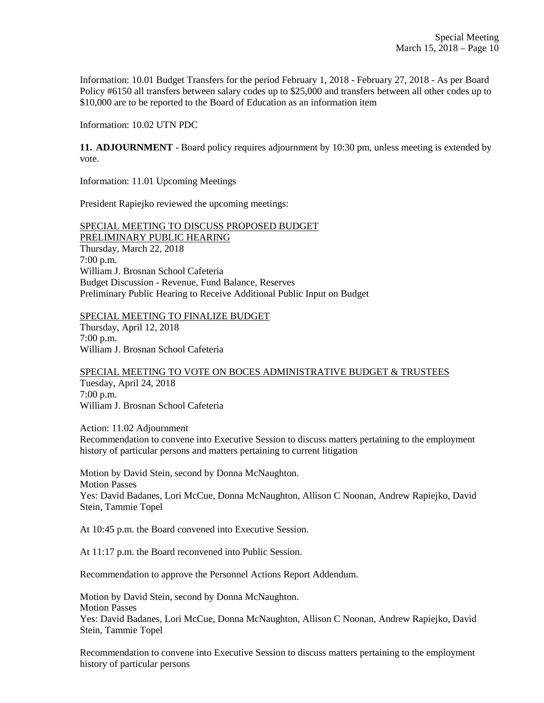Information: 10.01 Budget Transfers for the period February 1, 2018 - February 27, 2018 - As per Board Policy #6150 all transfers between salary codes up to \$25,000 and transfers between all other codes up to \$10,000 are to be reported to the Board of Education as an information item

Information: 10.02 UTN PDC

**11. ADJOURNMENT** - Board policy requires adjournment by 10:30 pm, unless meeting is extended by vote.

Information: 11.01 Upcoming Meetings

President Rapiejko reviewed the upcoming meetings:

SPECIAL MEETING TO DISCUSS PROPOSED BUDGET PRELIMINARY PUBLIC HEARING Thursday, March 22, 2018 7:00 p.m. William J. Brosnan School Cafeteria Budget Discussion - Revenue, Fund Balance, Reserves Preliminary Public Hearing to Receive Additional Public Input on Budget

SPECIAL MEETING TO FINALIZE BUDGET Thursday, April 12, 2018 7:00 p.m. William J. Brosnan School Cafeteria

SPECIAL MEETING TO VOTE ON BOCES ADMINISTRATIVE BUDGET & TRUSTEES Tuesday, April 24, 2018 7:00 p.m. William J. Brosnan School Cafeteria

Action: 11.02 Adjournment Recommendation to convene into Executive Session to discuss matters pertaining to the employment history of particular persons and matters pertaining to current litigation

Motion by David Stein, second by Donna McNaughton. Motion Passes Yes: David Badanes, Lori McCue, Donna McNaughton, Allison C Noonan, Andrew Rapiejko, David Stein, Tammie Topel

At 10:45 p.m. the Board convened into Executive Session.

At 11:17 p.m. the Board reconvened into Public Session.

Recommendation to approve the Personnel Actions Report Addendum.

Motion by David Stein, second by Donna McNaughton. Motion Passes Yes: David Badanes, Lori McCue, Donna McNaughton, Allison C Noonan, Andrew Rapiejko, David Stein, Tammie Topel

Recommendation to convene into Executive Session to discuss matters pertaining to the employment history of particular persons